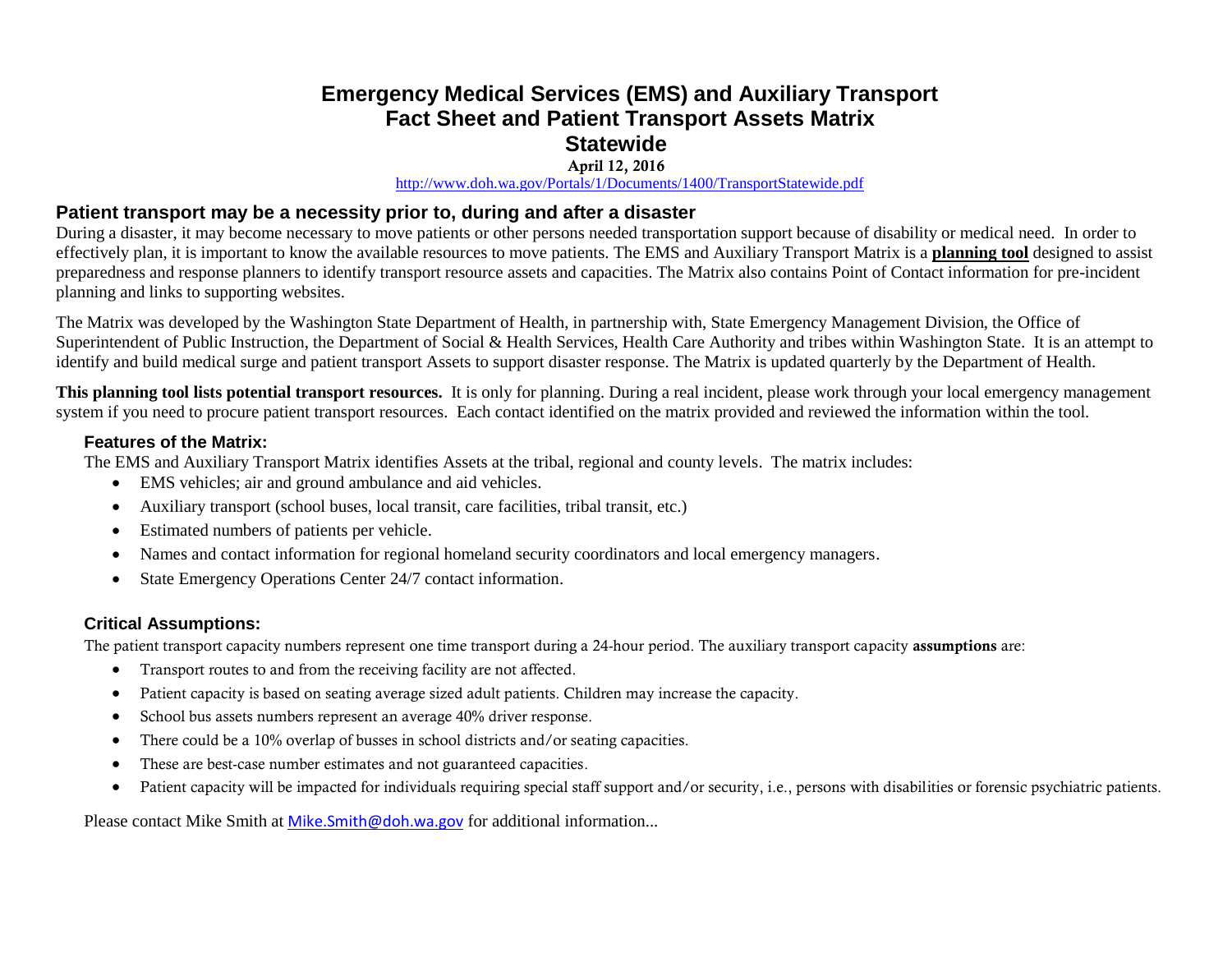# **Emergency Medical Services (EMS) and Auxiliary Transport Fact Sheet and Patient Transport Assets Matrix Statewide**

#### **April 12, 2016**

<http://www.doh.wa.gov/Portals/1/Documents/1400/TransportStatewide.pdf>

### **Patient transport may be a necessity prior to, during and after a disaster**

During a disaster, it may become necessary to move patients or other persons needed transportation support because of disability or medical need. In order to effectively plan, it is important to know the available resources to move patients. The EMS and Auxiliary Transport Matrix is a **planning tool** designed to assist preparedness and response planners to identify transport resource assets and capacities. The Matrix also contains Point of Contact information for pre-incident planning and links to supporting websites.

The Matrix was developed by the Washington State Department of Health, in partnership with, State Emergency Management Division, the Office of Superintendent of Public Instruction, the Department of Social & Health Services, Health Care Authority and tribes within Washington State. It is an attempt to identify and build medical surge and patient transport Assets to support disaster response. The Matrix is updated quarterly by the Department of Health.

**This planning tool lists potential transport resources.** It is only for planning. During a real incident, please work through your local emergency management system if you need to procure patient transport resources. Each contact identified on the matrix provided and reviewed the information within the tool.

#### **Features of the Matrix:**

The EMS and Auxiliary Transport Matrix identifies Assets at the tribal, regional and county levels. The matrix includes:

- EMS vehicles; air and ground ambulance and aid vehicles.
- Auxiliary transport (school buses, local transit, care facilities, tribal transit, etc.)
- Estimated numbers of patients per vehicle.
- Names and contact information for regional homeland security coordinators and local emergency managers.
- State Emergency Operations Center 24/7 contact information.

## **Critical Assumptions:**

The patient transport capacity numbers represent one time transport during a 24-hour period. The auxiliary transport capacity **assumptions** are:

- Transport routes to and from the receiving facility are not affected.
- Patient capacity is based on seating average sized adult patients. Children may increase the capacity.
- School bus assets numbers represent an average 40% driver response.
- There could be a 10% overlap of busses in school districts and/or seating capacities.
- These are best-case number estimates and not guaranteed capacities.
- Patient capacity will be impacted for individuals requiring special staff support and/or security, i.e., persons with disabilities or forensic psychiatric patients.

Please contact Mike Smith at [Mike.Smith@doh.wa.gov](mailto:Mike.Smith@doh.wa.gov) for additional information...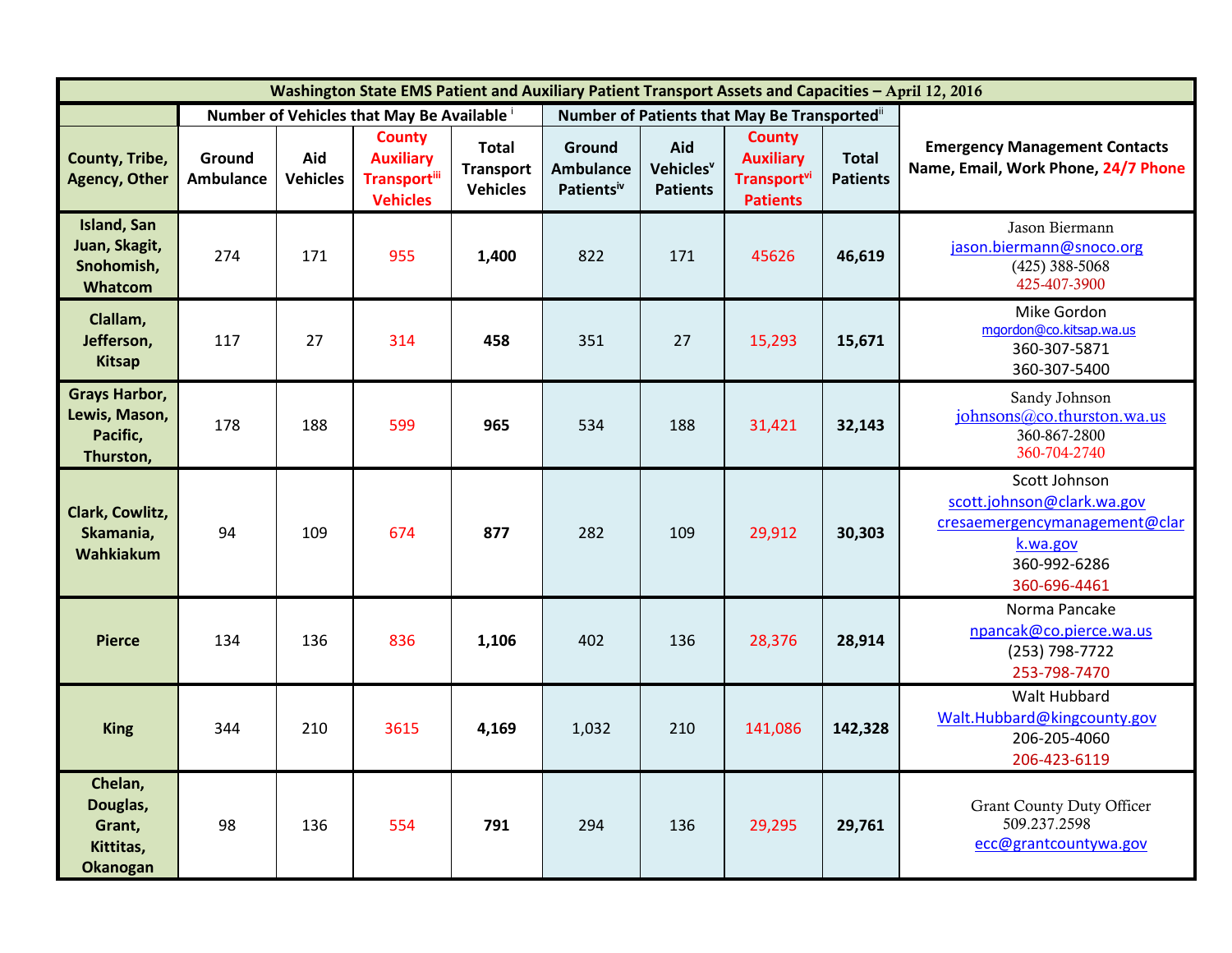| Washington State EMS Patient and Auxiliary Patient Transport Assets and Capacities - April 12, 2016 |                            |                        |                                                                             |                                                     |                                          |                                                 |                                                                                        |                                 |                                                                                                                          |
|-----------------------------------------------------------------------------------------------------|----------------------------|------------------------|-----------------------------------------------------------------------------|-----------------------------------------------------|------------------------------------------|-------------------------------------------------|----------------------------------------------------------------------------------------|---------------------------------|--------------------------------------------------------------------------------------------------------------------------|
|                                                                                                     |                            |                        | Number of Vehicles that May Be Available                                    |                                                     |                                          |                                                 | Number of Patients that May Be Transportedii                                           |                                 |                                                                                                                          |
| County, Tribe,<br><b>Agency, Other</b>                                                              | Ground<br><b>Ambulance</b> | Aid<br><b>Vehicles</b> | <b>County</b><br><b>Auxiliary</b><br><b>Transportill</b><br><b>Vehicles</b> | <b>Total</b><br><b>Transport</b><br><b>Vehicles</b> | Ground<br><b>Ambulance</b><br>Patientsiv | Aid<br>Vehicles <sup>v</sup><br><b>Patients</b> | <b>County</b><br><b>Auxiliary</b><br><b>Transport</b> <sup>vi</sup><br><b>Patients</b> | <b>Total</b><br><b>Patients</b> | <b>Emergency Management Contacts</b><br>Name, Email, Work Phone, 24/7 Phone                                              |
| <b>Island, San</b><br>Juan, Skagit,<br>Snohomish,<br>Whatcom                                        | 274                        | 171                    | 955                                                                         | 1,400                                               | 822                                      | 171                                             | 45626                                                                                  | 46,619                          | Jason Biermann<br>jason.biermann@snoco.org<br>$(425)$ 388-5068<br>425-407-3900                                           |
| Clallam,<br>Jefferson,<br><b>Kitsap</b>                                                             | 117                        | 27                     | 314                                                                         | 458                                                 | 351                                      | 27                                              | 15,293                                                                                 | 15,671                          | Mike Gordon<br>mgordon@co.kitsap.wa.us<br>360-307-5871<br>360-307-5400                                                   |
| <b>Grays Harbor,</b><br>Lewis, Mason,<br>Pacific,<br>Thurston,                                      | 178                        | 188                    | 599                                                                         | 965                                                 | 534                                      | 188                                             | 31,421                                                                                 | 32,143                          | Sandy Johnson<br>johnsons@co.thurston.wa.us<br>360-867-2800<br>360-704-2740                                              |
| Clark, Cowlitz,<br>Skamania,<br><b>Wahkiakum</b>                                                    | 94                         | 109                    | 674                                                                         | 877                                                 | 282                                      | 109                                             | 29,912                                                                                 | 30,303                          | Scott Johnson<br>scott.johnson@clark.wa.gov<br>cresaemergencymanagement@clar<br>k.wa.gov<br>360-992-6286<br>360-696-4461 |
| <b>Pierce</b>                                                                                       | 134                        | 136                    | 836                                                                         | 1,106                                               | 402                                      | 136                                             | 28,376                                                                                 | 28,914                          | Norma Pancake<br>npancak@co.pierce.wa.us<br>(253) 798-7722<br>253-798-7470                                               |
| <b>King</b>                                                                                         | 344                        | 210                    | 3615                                                                        | 4,169                                               | 1,032                                    | 210                                             | 141,086                                                                                | 142,328                         | Walt Hubbard<br>Walt.Hubbard@kingcounty.gov<br>206-205-4060<br>206-423-6119                                              |
| Chelan,<br>Douglas,<br>Grant,<br>Kittitas,<br><b>Okanogan</b>                                       | 98                         | 136                    | 554                                                                         | 791                                                 | 294                                      | 136                                             | 29,295                                                                                 | 29,761                          | <b>Grant County Duty Officer</b><br>509.237.2598<br>ecc@grantcountywa.gov                                                |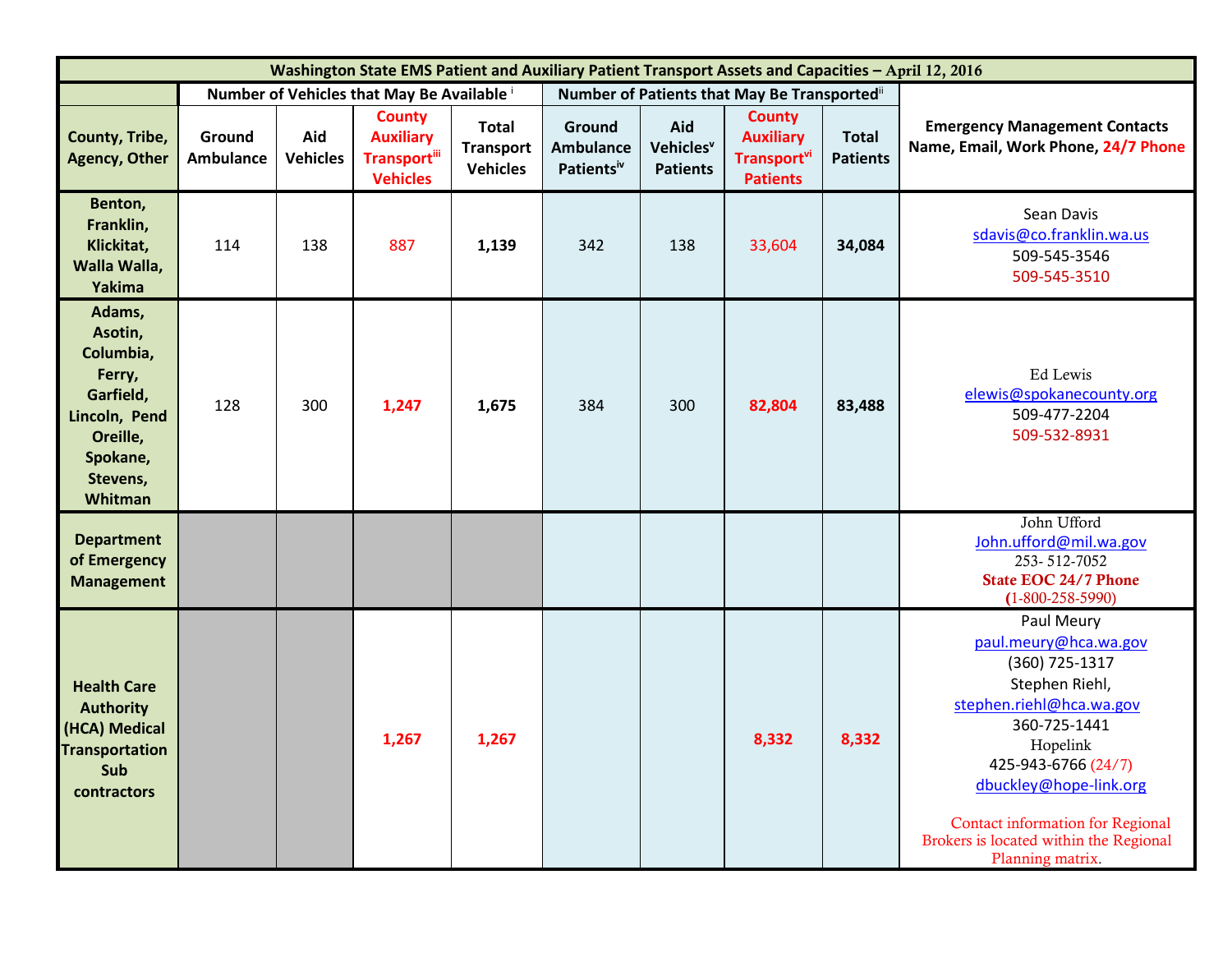| Washington State EMS Patient and Auxiliary Patient Transport Assets and Capacities - April 12, 2016                   |                            |                        |                                                                             |                                                     |                                                      |                                                 |                                                                                 |                                 |                                                                                                                                                                                                                                                                                           |
|-----------------------------------------------------------------------------------------------------------------------|----------------------------|------------------------|-----------------------------------------------------------------------------|-----------------------------------------------------|------------------------------------------------------|-------------------------------------------------|---------------------------------------------------------------------------------|---------------------------------|-------------------------------------------------------------------------------------------------------------------------------------------------------------------------------------------------------------------------------------------------------------------------------------------|
|                                                                                                                       |                            |                        | Number of Vehicles that May Be Available i                                  |                                                     |                                                      |                                                 | Number of Patients that May Be Transported"                                     |                                 |                                                                                                                                                                                                                                                                                           |
| County, Tribe,<br><b>Agency, Other</b>                                                                                | Ground<br><b>Ambulance</b> | Aid<br><b>Vehicles</b> | <b>County</b><br><b>Auxiliary</b><br><b>Transportill</b><br><b>Vehicles</b> | <b>Total</b><br><b>Transport</b><br><b>Vehicles</b> | Ground<br><b>Ambulance</b><br>Patients <sup>iv</sup> | Aid<br>Vehicles <sup>v</sup><br><b>Patients</b> | <b>County</b><br><b>Auxiliary</b><br>Transport <sup>vi</sup><br><b>Patients</b> | <b>Total</b><br><b>Patients</b> | <b>Emergency Management Contacts</b><br>Name, Email, Work Phone, 24/7 Phone                                                                                                                                                                                                               |
| Benton,<br>Franklin,<br>Klickitat,<br>Walla Walla,<br>Yakima                                                          | 114                        | 138                    | 887                                                                         | 1,139                                               | 342                                                  | 138                                             | 33,604                                                                          | 34,084                          | Sean Davis<br>sdavis@co.franklin.wa.us<br>509-545-3546<br>509-545-3510                                                                                                                                                                                                                    |
| Adams,<br>Asotin,<br>Columbia,<br>Ferry,<br>Garfield,<br>Lincoln, Pend<br>Oreille,<br>Spokane,<br>Stevens,<br>Whitman | 128                        | 300                    | 1,247                                                                       | 1,675                                               | 384                                                  | 300                                             | 82,804                                                                          | 83,488                          | Ed Lewis<br>elewis@spokanecounty.org<br>509-477-2204<br>509-532-8931                                                                                                                                                                                                                      |
| <b>Department</b><br>of Emergency<br><b>Management</b>                                                                |                            |                        |                                                                             |                                                     |                                                      |                                                 |                                                                                 |                                 | John Ufford<br>John.ufford@mil.wa.gov<br>253-512-7052<br><b>State EOC 24/7 Phone</b><br>$(1-800-258-5990)$                                                                                                                                                                                |
| <b>Health Care</b><br><b>Authority</b><br>(HCA) Medical<br><b>Transportation</b><br>Sub<br>contractors                |                            |                        | 1,267                                                                       | 1,267                                               |                                                      |                                                 | 8,332                                                                           | 8,332                           | Paul Meury<br>paul.meury@hca.wa.gov<br>(360) 725-1317<br>Stephen Riehl,<br>stephen.riehl@hca.wa.gov<br>360-725-1441<br>Hopelink<br>425-943-6766 (24/7)<br>dbuckley@hope-link.org<br><b>Contact information for Regional</b><br>Brokers is located within the Regional<br>Planning matrix. |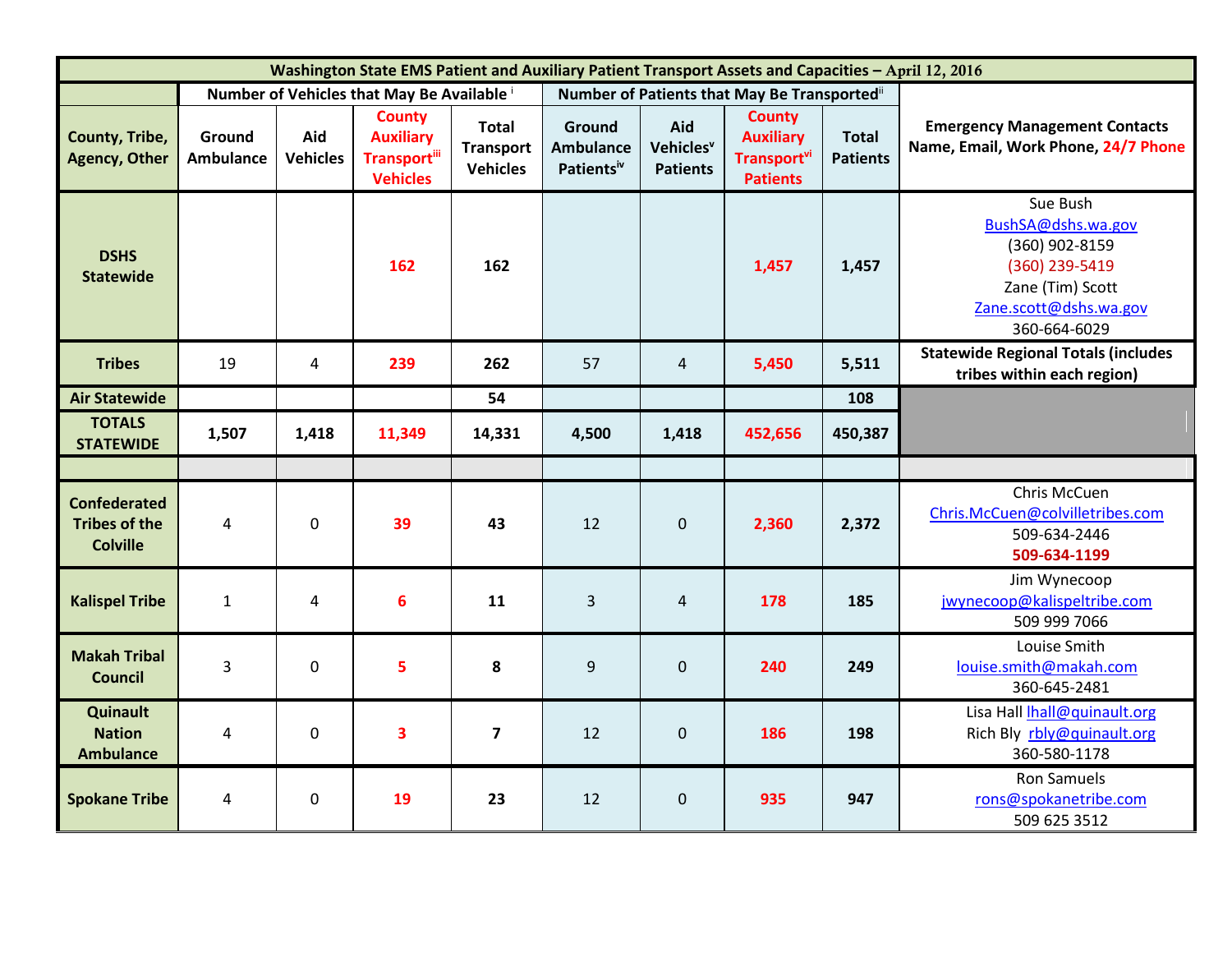| Washington State EMS Patient and Auxiliary Patient Transport Assets and Capacities - April 12, 2016 |                            |                        |                                                                             |                                              |                                                             |                                                 |                                                                                 |                                 |                                                                                                                                  |
|-----------------------------------------------------------------------------------------------------|----------------------------|------------------------|-----------------------------------------------------------------------------|----------------------------------------------|-------------------------------------------------------------|-------------------------------------------------|---------------------------------------------------------------------------------|---------------------------------|----------------------------------------------------------------------------------------------------------------------------------|
|                                                                                                     |                            |                        | Number of Vehicles that May Be Available                                    |                                              | Number of Patients that May Be Transportedii                |                                                 |                                                                                 |                                 |                                                                                                                                  |
| County, Tribe,<br><b>Agency, Other</b>                                                              | Ground<br><b>Ambulance</b> | Aid<br><b>Vehicles</b> | <b>County</b><br><b>Auxiliary</b><br><b>Transportill</b><br><b>Vehicles</b> | Total<br><b>Transport</b><br><b>Vehicles</b> | <b>Ground</b><br><b>Ambulance</b><br>Patients <sup>iv</sup> | Aid<br>Vehicles <sup>v</sup><br><b>Patients</b> | <b>County</b><br><b>Auxiliary</b><br>Transport <sup>vi</sup><br><b>Patients</b> | <b>Total</b><br><b>Patients</b> | <b>Emergency Management Contacts</b><br>Name, Email, Work Phone, 24/7 Phone                                                      |
| <b>DSHS</b><br><b>Statewide</b>                                                                     |                            |                        | 162                                                                         | 162                                          |                                                             |                                                 | 1,457                                                                           | 1,457                           | Sue Bush<br>BushSA@dshs.wa.gov<br>(360) 902-8159<br>(360) 239-5419<br>Zane (Tim) Scott<br>Zane.scott@dshs.wa.gov<br>360-664-6029 |
| <b>Tribes</b>                                                                                       | 19                         | $\overline{4}$         | 239                                                                         | 262                                          | 57                                                          | $\overline{4}$                                  | 5,450                                                                           | 5,511                           | <b>Statewide Regional Totals (includes</b><br>tribes within each region)                                                         |
| <b>Air Statewide</b>                                                                                |                            |                        |                                                                             | 54                                           |                                                             |                                                 |                                                                                 | 108                             |                                                                                                                                  |
| <b>TOTALS</b><br><b>STATEWIDE</b>                                                                   | 1,507                      | 1,418                  | 11,349                                                                      | 14,331                                       | 4,500                                                       | 1,418                                           | 452,656                                                                         | 450,387                         |                                                                                                                                  |
|                                                                                                     |                            |                        |                                                                             |                                              |                                                             |                                                 |                                                                                 |                                 |                                                                                                                                  |
| <b>Confederated</b><br><b>Tribes of the</b><br><b>Colville</b>                                      | $\overline{4}$             | $\mathbf 0$            | 39                                                                          | 43                                           | 12                                                          | $\mathbf{0}$                                    | 2,360                                                                           | 2,372                           | Chris McCuen<br>Chris.McCuen@colvilletribes.com<br>509-634-2446<br>509-634-1199                                                  |
| <b>Kalispel Tribe</b>                                                                               | $\mathbf{1}$               | 4                      | 6                                                                           | 11                                           | 3                                                           | $\overline{4}$                                  | 178                                                                             | 185                             | Jim Wynecoop<br>jwynecoop@kalispeltribe.com<br>509 999 7066                                                                      |
| <b>Makah Tribal</b><br><b>Council</b>                                                               | 3                          | $\mathbf 0$            | 5                                                                           | 8                                            | 9                                                           | $\mathbf{0}$                                    | 240                                                                             | 249                             | Louise Smith<br>louise.smith@makah.com<br>360-645-2481                                                                           |
| Quinault<br><b>Nation</b><br><b>Ambulance</b>                                                       | 4                          | $\mathbf{0}$           | 3                                                                           | $\overline{7}$                               | 12                                                          | $\mathbf{0}$                                    | 186                                                                             | 198                             | Lisa Hall Ihall@quinault.org<br>Rich Bly rbly@quinault.org<br>360-580-1178                                                       |
| <b>Spokane Tribe</b>                                                                                | 4                          | 0                      | 19                                                                          | 23                                           | 12                                                          | $\mathbf 0$                                     | 935                                                                             | 947                             | <b>Ron Samuels</b><br>rons@spokanetribe.com<br>509 625 3512                                                                      |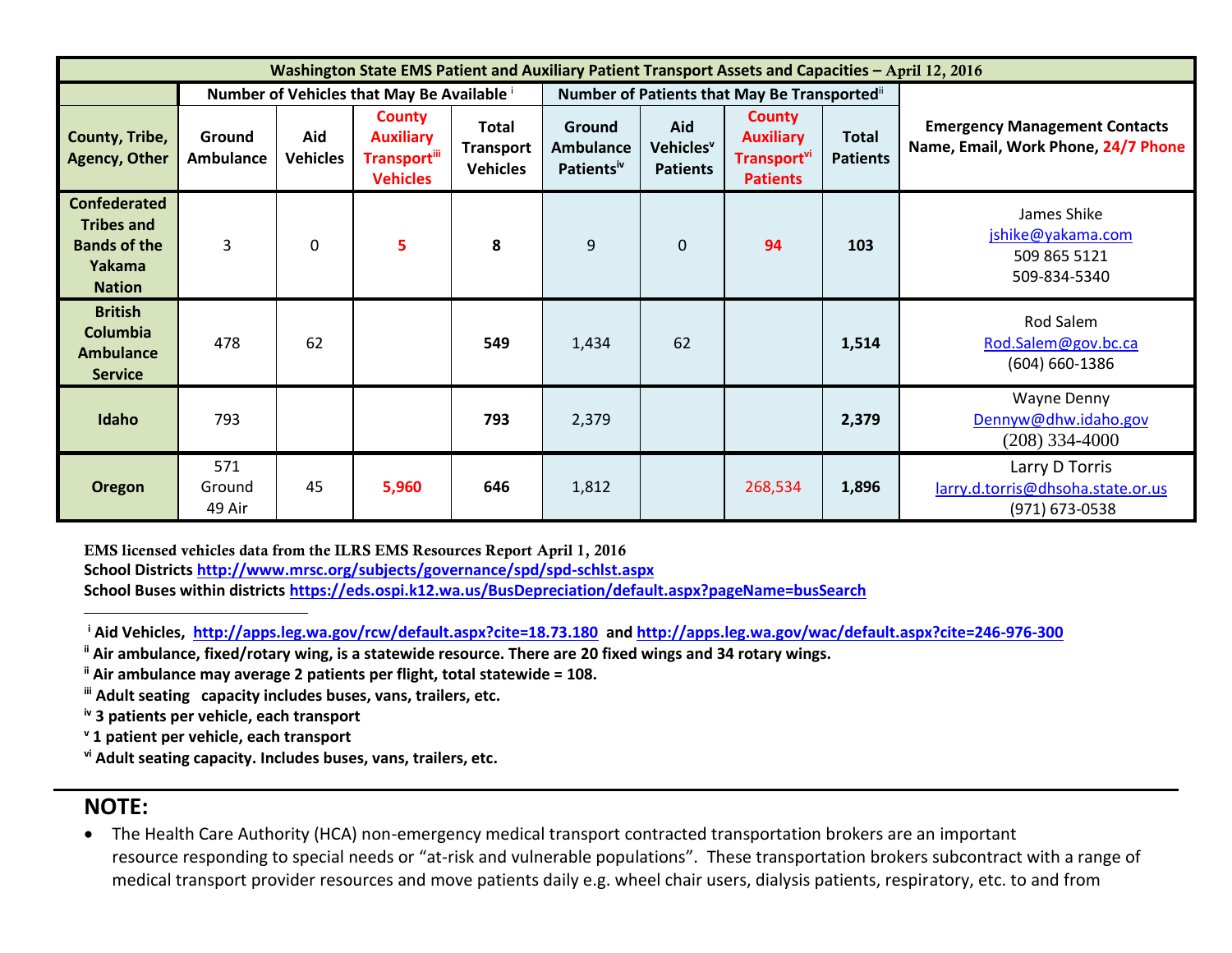| Washington State EMS Patient and Auxiliary Patient Transport Assets and Capacities - April 12, 2016 |                            |                        |                                                                              |                                                     |                                                      |                                                 |                                                                                 |                                 |                                                                             |
|-----------------------------------------------------------------------------------------------------|----------------------------|------------------------|------------------------------------------------------------------------------|-----------------------------------------------------|------------------------------------------------------|-------------------------------------------------|---------------------------------------------------------------------------------|---------------------------------|-----------------------------------------------------------------------------|
|                                                                                                     |                            |                        | Number of Vehicles that May Be Available i                                   |                                                     |                                                      |                                                 | Number of Patients that May Be Transported i                                    |                                 |                                                                             |
| County, Tribe,<br><b>Agency, Other</b>                                                              | Ground<br><b>Ambulance</b> | Aid<br><b>Vehicles</b> | <b>County</b><br><b>Auxiliary</b><br><b>Transport</b> iii<br><b>Vehicles</b> | <b>Total</b><br><b>Transport</b><br><b>Vehicles</b> | Ground<br><b>Ambulance</b><br>Patients <sup>iv</sup> | Aid<br>Vehicles <sup>v</sup><br><b>Patients</b> | <b>County</b><br><b>Auxiliary</b><br>Transport <sup>vi</sup><br><b>Patients</b> | <b>Total</b><br><b>Patients</b> | <b>Emergency Management Contacts</b><br>Name, Email, Work Phone, 24/7 Phone |
| <b>Confederated</b><br><b>Tribes and</b><br><b>Bands of the</b><br>Yakama<br><b>Nation</b>          | $\overline{3}$             | $\Omega$               | 5                                                                            | 8                                                   | 9                                                    | $\overline{0}$                                  | 94                                                                              | 103                             | James Shike<br>jshike@yakama.com<br>509 865 5121<br>509-834-5340            |
| <b>British</b><br><b>Columbia</b><br><b>Ambulance</b><br><b>Service</b>                             | 478                        | 62                     |                                                                              | 549                                                 | 1,434                                                | 62                                              |                                                                                 | 1,514                           | Rod Salem<br>Rod.Salem@gov.bc.ca<br>$(604) 660 - 1386$                      |
| Idaho                                                                                               | 793                        |                        |                                                                              | 793                                                 | 2,379                                                |                                                 |                                                                                 | 2,379                           | Wayne Denny<br>Dennyw@dhw.idaho.gov<br>$(208)$ 334-4000                     |
| Oregon                                                                                              | 571<br>Ground<br>49 Air    | 45                     | 5,960                                                                        | 646                                                 | 1,812                                                |                                                 | 268,534                                                                         | 1,896                           | Larry D Torris<br>larry.d.torris@dhsoha.state.or.us<br>(971) 673-0538       |

**EMS licensed vehicles data from the ILRS EMS Resources Report April 1, 2016 School District[s http://www.mrsc.org/subjects/governance/spd/spd-schlst.aspx](http://www.mrsc.org/subjects/governance/spd/spd-schlst.aspx) School Buses within districts<https://eds.ospi.k12.wa.us/BusDepreciation/default.aspx?pageName=busSearch>**

**<sup>i</sup> Aid Vehicles, <http://apps.leg.wa.gov/rcw/default.aspx?cite=18.73.180>and<http://apps.leg.wa.gov/wac/default.aspx?cite=246-976-300>**

**ii Air ambulance, fixed/rotary wing, is a statewide resource. There are 20 fixed wings and 34 rotary wings.**

**ii Air ambulance may average 2 patients per flight, total statewide = 108.**

**iii Adult seating capacity includes buses, vans, trailers, etc.**

**iv 3 patients per vehicle, each transport**

**<sup>v</sup> 1 patient per vehicle, each transport**

**vi Adult seating capacity. Includes buses, vans, trailers, etc.**

# **NOTE:**

 $\overline{a}$ 

 The Health Care Authority (HCA) non-emergency medical transport contracted transportation brokers are an important resource responding to special needs or "at-risk and vulnerable populations". These transportation brokers subcontract with a range of medical transport provider resources and move patients daily e.g. wheel chair users, dialysis patients, respiratory, etc. to and from